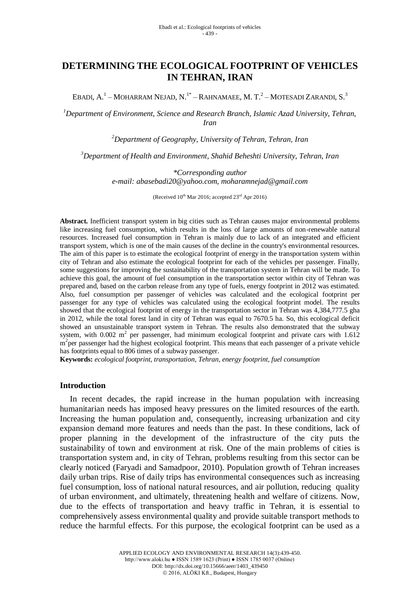# **DETERMINING THE ECOLOGICAL FOOTPRINT OF VEHICLES IN TEHRAN, IRAN**

EBADI, A.<sup>1</sup> – MOHARRAM NEJAD, N.<sup>1\*</sup> – RAHNAMAEE, M. T.<sup>2</sup> – MOTESADI ZARANDI, S.<sup>3</sup>

*<sup>1</sup>Department of Environment, Science and Research Branch, Islamic Azad University, Tehran, Iran*

*<sup>2</sup>Department of Geography, University of Tehran, Tehran, Iran*

*<sup>3</sup>Department of Health and Environment, Shahid Beheshti University, Tehran, Iran*

*\*Corresponding author e-mail: [abasebadi20@yahoo.com,](mailto:abasebadi20@yahoo.com) moharamnejad@gmail.com*

(Received  $10^{th}$  Mar 2016; accepted  $23^{rd}$  Apr 2016)

**Abstract.** Inefficient transport system in big cities such as Tehran causes major environmental problems like increasing fuel consumption, which results in the loss of large amounts of non-renewable natural resources. Increased fuel consumption in Tehran is mainly due to lack of an integrated and efficient transport system, which is one of the main causes of the decline in the country's environmental resources. The aim of this paper is to estimate the ecological footprint of energy in the transportation system within city of Tehran and also estimate the ecological footprint for each of the vehicles per passenger. Finally, some suggestions for improving the sustainability of the transportation system in Tehran will be made. To achieve this goal, the amount of fuel consumption in the transportation sector within city of Tehran was prepared and, based on the carbon release from any type of fuels, energy footprint in 2012 was estimated. Also, fuel consumption per passenger of vehicles was calculated and the ecological footprint per passenger for any type of vehicles was calculated using the ecological footprint model. The results showed that the ecological footprint of energy in the transportation sector in Tehran was 4,384,777.5 gha in 2012, while the total forest land in city of Tehran was equal to 7670.5 ha. So, this ecological deficit showed an unsustainable transport system in Tehran. The results also demonstrated that the subway system, with  $0.002 \text{ m}^2$  per passenger, had minimum ecological footprint and private cars with  $1.612$ m<sup>2</sup>per passenger had the highest ecological footprint. This means that each passenger of a private vehicle has footprints equal to 806 times of a subway passenger.

**Keywords:** *ecological footprint, transportation, Tehran, energy footprint, fuel consumption*

### **Introduction**

In recent decades, the rapid increase in the human population with increasing humanitarian needs has imposed heavy pressures on the limited resources of the earth. Increasing the human population and, consequently, increasing urbanization and city expansion demand more features and needs than the past. In these conditions, lack of proper planning in the development of the infrastructure of the city puts the sustainability of town and environment at risk. One of the main problems of cities is transportation system and, in city of Tehran, problems resulting from this sector can be clearly noticed (Faryadi and Samadpoor, 2010). Population growth of Tehran increases daily urban trips. Rise of daily trips has environmental consequences such as increasing fuel consumption, loss of national natural resources, and air pollution, reducing quality of urban environment, and ultimately, threatening health and welfare of citizens. Now, due to the effects of transportation and heavy traffic in Tehran, it is essential to comprehensively assess environmental quality and provide suitable transport methods to reduce the harmful effects. For this purpose, the ecological footprint can be used as a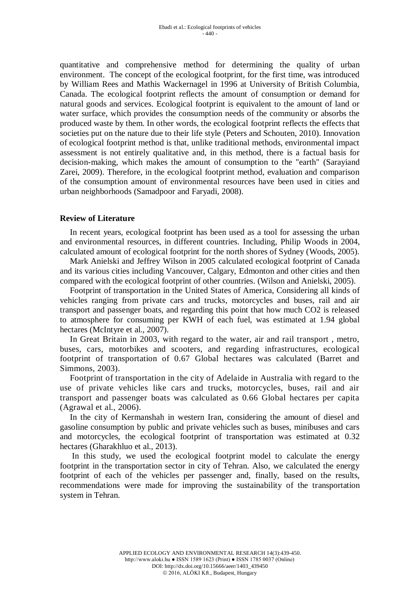quantitative and comprehensive method for determining the quality of urban environment. The concept of the ecological footprint, for the first time, was introduced by William Rees and Mathis Wackernagel in 1996 at University of British Columbia, Canada. The ecological footprint reflects the amount of consumption or demand for natural goods and services. Ecological footprint is equivalent to the amount of land or water surface, which provides the consumption needs of the community or absorbs the produced waste by them. In other words, the ecological footprint reflects the effects that societies put on the nature due to their life style (Peters and Schouten, 2010). Innovation of ecological footprint method is that, unlike traditional methods, environmental impact assessment is not entirely qualitative and, in this method, there is a factual basis for decision-making, which makes the amount of consumption to the "earth" (Sarayiand Zarei, 2009). Therefore, in the ecological footprint method, evaluation and comparison of the consumption amount of environmental resources have been used in cities and urban neighborhoods (Samadpoor and Faryadi, 2008).

# **Review of Literature**

In recent years, ecological footprint has been used as a tool for assessing the urban and environmental resources, in different countries. Including, Philip Woods in 2004, calculated amount of ecological footprint for the north shores of Sydney (Woods, 2005).

Mark Anielski and Jeffrey Wilson in 2005 calculated ecological footprint of Canada and its various cities including Vancouver, Calgary, Edmonton and other cities and then compared with the ecological footprint of other countries. (Wilson and Anielski, 2005).

Footprint of transportation in the United States of America, Considering all kinds of vehicles ranging from private cars and trucks, motorcycles and buses, rail and air transport and passenger boats, and regarding this point that how much CO2 is released to atmosphere for consuming per KWH of each fuel, was estimated at 1.94 global hectares (McIntyre et al., 2007).

In Great Britain in 2003, with regard to the water, air and rail transport , metro, buses, cars, motorbikes and scooters, and regarding infrastructures, ecological footprint of transportation of 0.67 Global hectares was calculated (Barret and Simmons, 2003).

Footprint of transportation in the city of Adelaide in Australia with regard to the use of private vehicles like cars and trucks, motorcycles, buses, rail and air transport and passenger boats was calculated as 0.66 Global hectares per capita (Agrawal et al., 2006).

In the city of Kermanshah in western Iran, considering the amount of diesel and gasoline consumption by public and private vehicles such as buses, minibuses and cars and motorcycles, the ecological footprint of transportation was estimated at 0.32 hectares (Gharakhluo et al., 2013).

In this study, we used the ecological footprint model to calculate the energy footprint in the transportation sector in city of Tehran. Also, we calculated the energy footprint of each of the vehicles per passenger and, finally, based on the results, recommendations were made for improving the sustainability of the transportation system in Tehran.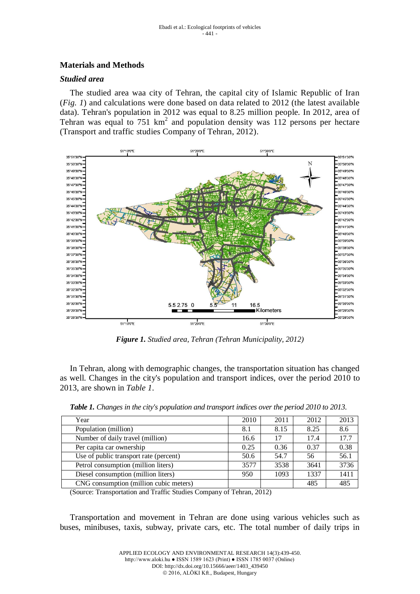# **Materials and Methods**

### *Studied area*

The studied area waa city of Tehran, the capital city of Islamic Republic of Iran (*Fig. 1*) and calculations were done based on data related to 2012 (the latest available data). Tehran's population in 2012 was equal to 8.25 million people. In 2012, area of Tehran was equal to 751  $km^2$  and population density was 112 persons per hectare (Transport and traffic studies Company of Tehran, 2012).



*Figure 1. Studied area, Tehran (Tehran Municipality, 2012)*

In Tehran, along with demographic changes, the transportation situation has changed as well. Changes in the city's population and transport indices, over the period 2010 to 2013, are shown in *Table 1*.

| Year                                   | 2010 | 2011 | 2012 | 2013 |
|----------------------------------------|------|------|------|------|
| Population (million)                   | 8.1  | 8.15 | 8.25 | 8.6  |
| Number of daily travel (million)       | 16.6 | 17   | 17.4 | 17.7 |
| Per capita car ownership               | 0.25 | 0.36 | 0.37 | 0.38 |
| Use of public transport rate (percent) | 50.6 | 54.7 | 56   | 56.1 |
| Petrol consumption (million liters)    | 3577 | 3538 | 3641 | 3736 |
| Diesel consumption (million liters)    | 950  | 1093 | 1337 | 1411 |
| CNG consumption (million cubic meters) |      |      | 485  | 485  |

*Table 1. Changes in the city's population and transport indices over the period 2010 to 2013.*

(Source: Transportation and Traffic Studies Company of Tehran, 2012)

Transportation and movement in Tehran are done using various vehicles such as buses, minibuses, taxis, subway, private cars, etc. The total number of daily trips in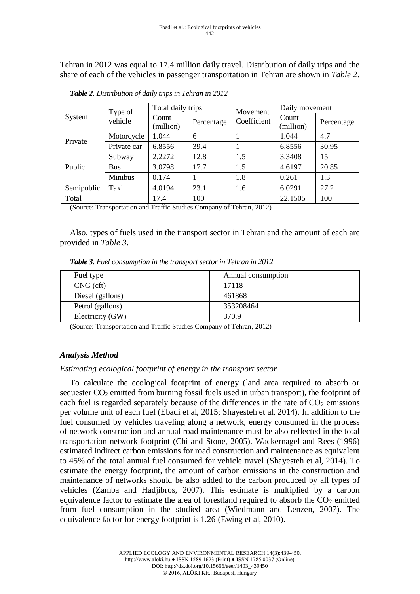Tehran in 2012 was equal to 17.4 million daily travel. Distribution of daily trips and the share of each of the vehicles in passenger transportation in Tehran are shown in *Table 2*.

| System     | Type of<br>vehicle | Total daily trips  |            | Movement    | Daily movement     |            |  |
|------------|--------------------|--------------------|------------|-------------|--------------------|------------|--|
|            |                    | Count<br>(million) | Percentage | Coefficient | Count<br>(million) | Percentage |  |
| Private    | Motorcycle         | 1.044              | 6          |             | 1.044              | 4.7        |  |
|            | Private car        | 6.8556             | 39.4       |             | 6.8556             | 30.95      |  |
| Public     | Subway             | 2.2272             | 12.8       | 1.5         | 3.3408             | 15         |  |
|            | <b>Bus</b>         | 3.0798             | 17.7       | 1.5         | 4.6197             | 20.85      |  |
|            | Minibus            | 0.174              |            | 1.8         | 0.261              | 1.3        |  |
| Semipublic | Taxi               | 4.0194             | 23.1       | 1.6         | 6.0291             | 27.2       |  |
| Total      |                    | 17.4               | 100        |             | 22.1505            | 100        |  |

*Table 2. Distribution of daily trips in Tehran in 2012*

(Source: Transportation and Traffic Studies Company of Tehran, 2012)

Also, types of fuels used in the transport sector in Tehran and the amount of each are provided in *Table 3*.

*Table 3. Fuel consumption in the transport sector in Tehran in 2012*

| Fuel type        | Annual consumption |
|------------------|--------------------|
| $CNG$ (cft)      | 17118              |
| Diesel (gallons) | 461868             |
| Petrol (gallons) | 353208464          |
| Electricity (GW) | 370.9              |

(Source: Transportation and Traffic Studies Company of Tehran, 2012)

# *Analysis Method*

# *Estimating ecological footprint of energy in the transport sector*

To calculate the ecological footprint of energy (land area required to absorb or sequester  $CO<sub>2</sub>$  emitted from burning fossil fuels used in urban transport), the footprint of each fuel is regarded separately because of the differences in the rate of  $CO<sub>2</sub>$  emissions per volume unit of each fuel (Ebadi et al, 2015; Shayesteh et al, 2014). In addition to the fuel consumed by vehicles traveling along a network, energy consumed in the process of network construction and annual road maintenance must be also reflected in the total transportation network footprint (Chi and Stone, 2005). Wackernagel and Rees (1996) estimated indirect carbon emissions for road construction and maintenance as equivalent to 45% of the total annual fuel consumed for vehicle travel (Shayesteh et al, 2014). To estimate the energy footprint, the amount of carbon emissions in the construction and maintenance of networks should be also added to the carbon produced by all types of vehicles (Zamba and Hadjibros, 2007). This estimate is multiplied by a carbon equivalence factor to estimate the area of forestland required to absorb the  $CO<sub>2</sub>$  emitted from fuel consumption in the studied area (Wiedmann and Lenzen, 2007). The equivalence factor for energy footprint is 1.26 (Ewing et al, 2010).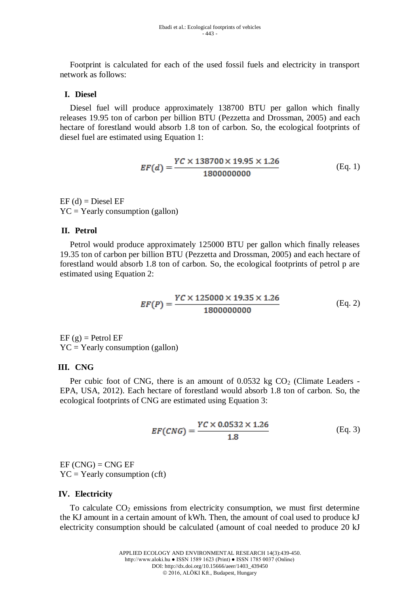Footprint is calculated for each of the used fossil fuels and electricity in transport network as follows:

### **I. Diesel**

Diesel fuel will produce approximately 138700 BTU per gallon which finally releases 19.95 ton of carbon per billion BTU (Pezzetta and Drossman, 2005) and each hectare of forestland would absorb 1.8 ton of carbon. So, the ecological footprints of diesel fuel are estimated using Equation 1:

$$
EF(d) = \frac{YC \times 138700 \times 19.95 \times 1.26}{1800000000}
$$
 (Eq. 1)

 $EF$  (d) = Diesel  $EF$  $YC = Yearly consumption (gallon)$ 

#### **II. Petrol**

Petrol would produce approximately 125000 BTU per gallon which finally releases 19.35 ton of carbon per billion BTU (Pezzetta and Drossman, 2005) and each hectare of forestland would absorb 1.8 ton of carbon. So, the ecological footprints of petrol p are estimated using Equation 2:

$$
EF(P) = \frac{YC \times 125000 \times 19.35 \times 1.26}{1800000000}
$$
 (Eq. 2)

 $EF$  (g) = Petrol  $EF$  $YC = Yearly consumption (gallon)$ 

### **III. CNG**

Per cubic foot of CNG, there is an amount of  $0.0532$  kg  $CO<sub>2</sub>$  (Climate Leaders -EPA, USA, 2012). Each hectare of forestland would absorb 1.8 ton of carbon. So, the ecological footprints of CNG are estimated using Equation 3:

$$
EF(CNG) = \frac{YC \times 0.0532 \times 1.26}{1.8}
$$
 (Eq. 3)

 $EF(CNG) = CNG EF$  $YC = Yearly consumption (cft)$ 

#### **IV. Electricity**

To calculate  $CO<sub>2</sub>$  emissions from electricity consumption, we must first determine the KJ amount in a certain amount of kWh. Then, the amount of coal used to produce kJ electricity consumption should be calculated (amount of coal needed to produce 20 kJ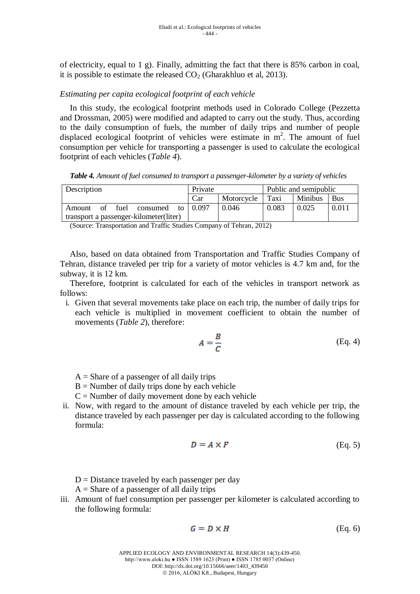of electricity, equal to 1 g). Finally, admitting the fact that there is 85% carbon in coal, it is possible to estimate the released  $CO<sub>2</sub>$  (Gharakhluo et al, 2013).

## *Estimating per capita ecological footprint of each vehicle*

In this study, the ecological footprint methods used in Colorado College (Pezzetta and Drossman, 2005) were modified and adapted to carry out the study. Thus, according to the daily consumption of fuels, the number of daily trips and number of people displaced ecological footprint of vehicles were estimate in  $m<sup>2</sup>$ . The amount of fuel consumption per vehicle for transporting a passenger is used to calculate the ecological footprint of each vehicles (*Table 4*).

*Table 4. Amount of fuel consumed to transport a passenger-kilometer by a variety of vehicles*

| Description                            | Private |            | Public and semipublic |                |       |
|----------------------------------------|---------|------------|-----------------------|----------------|-------|
|                                        | Car     | Motorcycle | Taxi                  | <b>Minibus</b> | Bus   |
| of fuel<br>consumed to<br>Amount       | 0.097   | 0.046      | 0.083                 | 0.025          | 0.011 |
| transport a passenger-kilometer(liter) |         |            |                       |                |       |

(Source: Transportation and Traffic Studies Company of Tehran, 2012)

Also, based on data obtained from Transportation and Traffic Studies Company of Tehran, distance traveled per trip for a variety of motor vehicles is 4.7 km and, for the subway, it is 12 km.

Therefore, footprint is calculated for each of the vehicles in transport network as follows:

i. Given that several movements take place on each trip, the number of daily trips for each vehicle is multiplied in movement coefficient to obtain the number of movements (*Table 2*), therefore:

$$
A = \frac{B}{C}
$$
 (Eq. 4)

- $A =$ Share of a passenger of all daily trips
- $B =$  Number of daily trips done by each vehicle
- $C =$  Number of daily movement done by each vehicle
- ii. Now, with regard to the amount of distance traveled by each vehicle per trip, the distance traveled by each passenger per day is calculated according to the following formula:

$$
D = A \times F \tag{Eq. 5}
$$

- $D = Distance$  traveled by each passenger per day
- $A =$  Share of a passenger of all daily trips
- iii. Amount of fuel consumption per passenger per kilometer is calculated according to the following formula:

$$
G = D \times H \tag{Eq. 6}
$$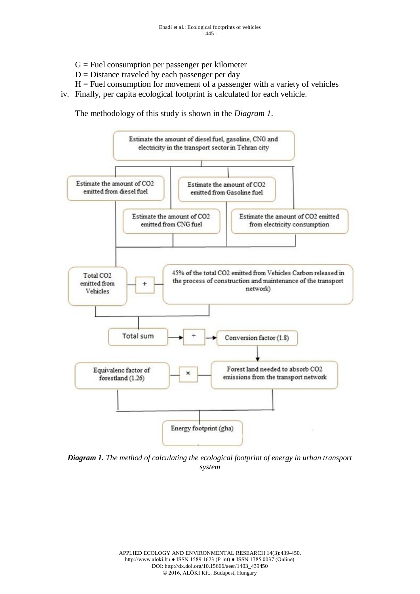- $G =$  Fuel consumption per passenger per kilometer
- $D = Distance$  traveled by each passenger per day
- $H =$  Fuel consumption for movement of a passenger with a variety of vehicles
- iv. Finally, per capita ecological footprint is calculated for each vehicle.

The methodology of this study is shown in the *Diagram 1*.



*Diagram 1. The method of calculating the ecological footprint of energy in urban transport system*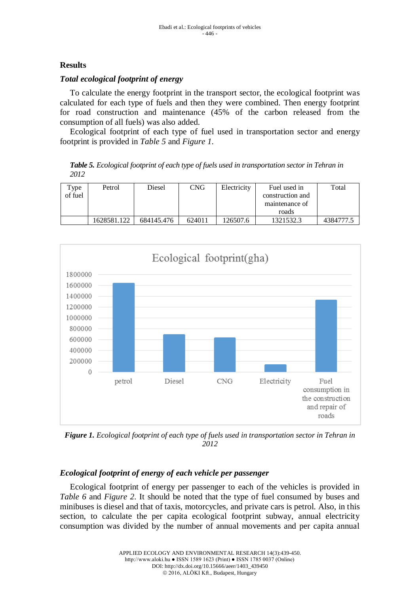# **Results**

# *Total ecological footprint of energy*

To calculate the energy footprint in the transport sector, the ecological footprint was calculated for each type of fuels and then they were combined. Then energy footprint for road construction and maintenance (45% of the carbon released from the consumption of all fuels) was also added.

Ecological footprint of each type of fuel used in transportation sector and energy footprint is provided in *Table 5* and *Figure 1*.

*Table 5. Ecological footprint of each type of fuels used in transportation sector in Tehran in 2012*

| Type<br>of fuel | Petrol      | Diesel     | CNG    | Electricity | Fuel used in<br>construction and<br>maintenance of | Total     |
|-----------------|-------------|------------|--------|-------------|----------------------------------------------------|-----------|
|                 |             |            |        |             | roads                                              |           |
|                 | 1628581.122 | 684145.476 | 624011 | 126507.6    | 1321532.3                                          | 4384777.5 |



*Figure 1. Ecological footprint of each type of fuels used in transportation sector in Tehran in 2012*

# *Ecological footprint of energy of each vehicle per passenger*

Ecological footprint of energy per passenger to each of the vehicles is provided in *Table 6* and *Figure 2*. It should be noted that the type of fuel consumed by buses and minibuses is diesel and that of taxis, motorcycles, and private cars is petrol. Also, in this section, to calculate the per capita ecological footprint subway, annual electricity consumption was divided by the number of annual movements and per capita annual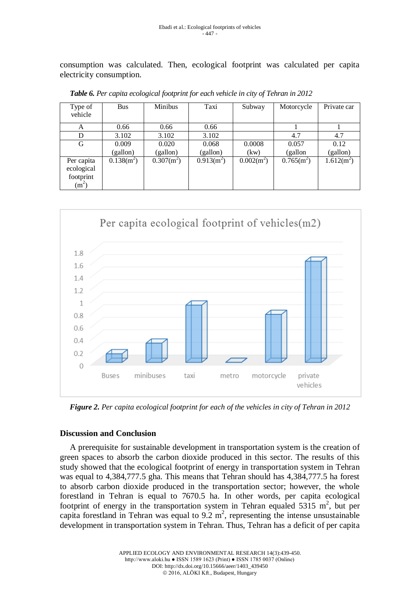consumption was calculated. Then, ecological footprint was calculated per capita electricity consumption.

| Type of<br>vehicle                                         | <b>Bus</b>   | <b>Minibus</b> | Taxi         | Subway       | Motorcycle   | Private car  |
|------------------------------------------------------------|--------------|----------------|--------------|--------------|--------------|--------------|
| A                                                          | 0.66         | 0.66           | 0.66         |              |              |              |
| D                                                          | 3.102        | 3.102          | 3.102        |              | 4.7          | 4.7          |
| G                                                          | 0.009        | 0.020          | 0.068        | 0.0008       | 0.057        | 0.12         |
|                                                            | (gallon)     | (gallon)       | (gallon)     | (kw)         | (gallon      | (gallon)     |
| Per capita<br>ecological<br>footprint<br>(m <sup>2</sup> ) | $0.138(m^2)$ | $0.307(m^2)$   | $0.913(m^2)$ | $0.002(m^2)$ | $0.765(m^2)$ | $1.612(m^2)$ |

*Table 6. Per capita ecological footprint for each vehicle in city of Tehran in 2012*



*Figure 2. Per capita ecological footprint for each of the vehicles in city of Tehran in 2012*

# **Discussion and Conclusion**

A prerequisite for sustainable development in transportation system is the creation of green spaces to absorb the carbon dioxide produced in this sector. The results of this study showed that the ecological footprint of energy in transportation system in Tehran was equal to 4,384,777.5 gha. This means that Tehran should has 4,384,777.5 ha forest to absorb carbon dioxide produced in the transportation sector; however, the whole forestland in Tehran is equal to 7670.5 ha. In other words, per capita ecological footprint of energy in the transportation system in Tehran equaled  $5315 \text{ m}^2$ , but per capita forestland in Tehran was equal to  $9.2 \text{ m}^2$ , representing the intense unsustainable development in transportation system in Tehran. Thus, Tehran has a deficit of per capita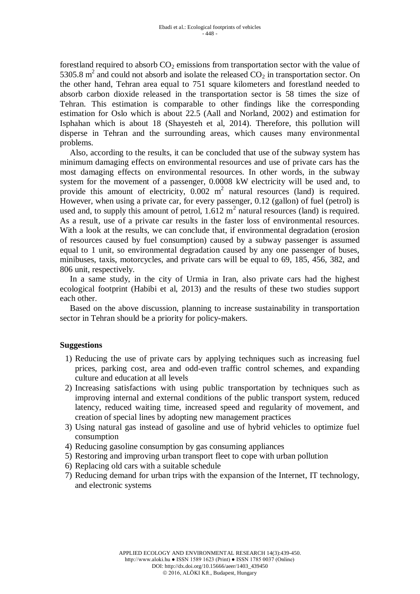forestland required to absorb  $CO<sub>2</sub>$  emissions from transportation sector with the value of 5305.8  $m^2$  and could not absorb and isolate the released  $CO_2$  in transportation sector. On the other hand, Tehran area equal to 751 square kilometers and forestland needed to absorb carbon dioxide released in the transportation sector is 58 times the size of Tehran. This estimation is comparable to other findings like the corresponding estimation for Oslo which is about 22.5 (Aall and Norland, 2002) and estimation for Isphahan which is about 18 (Shayesteh et al, 2014). Therefore, this pollution will disperse in Tehran and the surrounding areas, which causes many environmental problems.

Also, according to the results, it can be concluded that use of the subway system has minimum damaging effects on environmental resources and use of private cars has the most damaging effects on environmental resources. In other words, in the subway system for the movement of a passenger, 0.0008 kW electricity will be used and, to provide this amount of electricity,  $0.002 \text{ m}^2$  natural resources (land) is required. However, when using a private car, for every passenger, 0.12 (gallon) of fuel (petrol) is used and, to supply this amount of petrol,  $1.612 \text{ m}^2$  natural resources (land) is required. As a result, use of a private car results in the faster loss of environmental resources. With a look at the results, we can conclude that, if environmental degradation (erosion of resources caused by fuel consumption) caused by a subway passenger is assumed equal to 1 unit, so environmental degradation caused by any one passenger of buses, minibuses, taxis, motorcycles, and private cars will be equal to 69, 185, 456, 382, and 806 unit, respectively.

In a same study, in the city of Urmia in Iran, also private cars had the highest ecological footprint (Habibi et al, 2013) and the results of these two studies support each other.

Based on the above discussion, planning to increase sustainability in transportation sector in Tehran should be a priority for policy-makers.

# **Suggestions**

- 1) Reducing the use of private cars by applying techniques such as increasing fuel prices, parking cost, area and odd-even traffic control schemes, and expanding culture and education at all levels
- 2) Increasing satisfactions with using public transportation by techniques such as improving internal and external conditions of the public transport system, reduced latency, reduced waiting time, increased speed and regularity of movement, and creation of special lines by adopting new management practices
- 3) Using natural gas instead of gasoline and use of hybrid vehicles to optimize fuel consumption
- 4) Reducing gasoline consumption by gas consuming appliances
- 5) Restoring and improving urban transport fleet to cope with urban pollution
- 6) Replacing old cars with a suitable schedule
- 7) Reducing demand for urban trips with the expansion of the Internet, IT technology, and electronic systems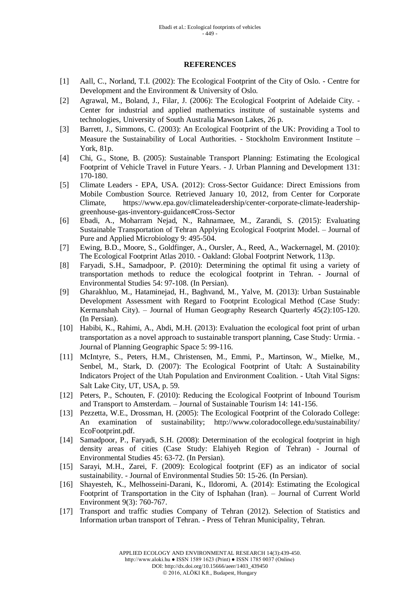#### **REFERENCES**

- [1] Aall, C., Norland, T.I. (2002): The Ecological Footprint of the City of Oslo. Centre for Development and the Environment & University of Oslo.
- [2] Agrawal, M., Boland, J., Filar, J. (2006): The Ecological Footprint of Adelaide City. Center for industrial and applied mathematics institute of sustainable systems and technologies, University of South Australia Mawson Lakes, 26 p.
- [3] Barrett, J., Simmons, C. (2003): An Ecological Footprint of the UK: Providing a Tool to Measure the Sustainability of Local Authorities. - Stockholm Environment Institute – York, 81p.
- [4] Chi, G., Stone, B. (2005): Sustainable Transport Planning: Estimating the Ecological Footprint of Vehicle Travel in Future Years. - J. Urban Planning and Development 131: 170-180.
- [5] Climate Leaders EPA, USA. (2012): Cross-Sector Guidance: Direct Emissions from Mobile Combustion Source. Retrieved January 10, 2012, from Center for Corporate Climate, [https://www.epa.gov/climateleadership/center-corporate-climate-leadership](https://www.epa.gov/climateleadership/center-corporate-climate-leadership-greenhouse-gas-inventory-guidance#Cross-Sector)[greenhouse-gas-inventory-guidance#Cross-Sector](https://www.epa.gov/climateleadership/center-corporate-climate-leadership-greenhouse-gas-inventory-guidance#Cross-Sector)
- [6] Ebadi, A., Moharram Nejad, N., Rahnamaee, M., Zarandi, S. (2015): Evaluating Sustainable Transportation of Tehran Applying Ecological Footprint Model. – Journal of Pure and Applied Microbiology 9: 495-504.
- [7] Ewing, B.D., Moore, S., Goldfinger, A., Oursler, A., Reed, A., Wackernagel, M. (2010): The Ecological Footprint Atlas 2010. - Oakland: Global Footprint Network, 113p.
- [8] Faryadi, S.H., Samadpoor, P. (2010): Determining the optimal fit using a variety of transportation methods to reduce the ecological footprint in Tehran. - Journal of Environmental Studies 54: 97-108. (In Persian).
- [9] Gharakhluo, M., Hataminejad, H., Baghvand, M., Yalve, M. (2013): Urban Sustainable Development Assessment with Regard to Footprint Ecological Method (Case Study: Kermanshah City). – Journal of Human Geography Research Quarterly 45(2):105-120. (In Persian).
- [10] Habibi, K., Rahimi, A., Abdi, M.H. (2013): Evaluation the ecological foot print of urban transportation as a novel approach to sustainable transport planning, Case Study: Urmia. - Journal of Planning Geographic Space 5: 99-116.
- [11] McIntyre, S., Peters, H.M., Christensen, M., Emmi, P., Martinson, W., Mielke, M., Senbel, M., Stark, D. (2007): The Ecological Footprint of Utah: A Sustainability Indicators Project of the Utah Population and Environment Coalition. - Utah Vital Signs: Salt Lake City, UT, USA, p. 59.
- [12] Peters, P., Schouten, F. (2010): Reducing the Ecological Footprint of Inbound Tourism and Transport to Amsterdam. – Journal of Sustainable Tourism 14: 141-156.
- [13] Pezzetta, W.E., Drossman, H. (2005): The Ecological Footprint of the Colorado College: An examination of sustainability; <http://www.coloradocollege.edu/sustainability/> EcoFootprint.pdf.
- [14] Samadpoor, P., Faryadi, S.H. (2008): Determination of the ecological footprint in high density areas of cities (Case Study: Elahiyeh Region of Tehran) - Journal of Environmental Studies 45: 63-72. (In Persian).
- [15] Sarayi, M.H., Zarei, F. (2009): Ecological footprint (EF) as an indicator of social sustainability. - Journal of Environmental Studies 50: 15-26. (In Persian).
- [16] Shayesteh, K., Melhosseini-Darani, K., Ildoromi, A. (2014): Estimating the Ecological Footprint of Transportation in the City of Isphahan (Iran). – Journal of Current World Environment 9(3): 760-767.
- [17] Transport and traffic studies Company of Tehran (2012). Selection of Statistics and Information urban transport of Tehran. - Press of Tehran Municipality, Tehran.